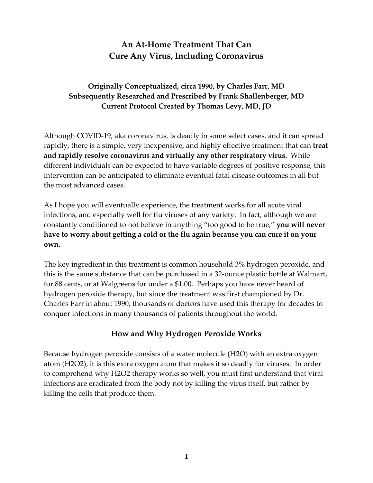# **An At-Home Treatment That Can Cure Any Virus, Including Coronavirus**

## **Originally Conceptualized, circa 1990, by Charles Farr, MD Subsequently Researched and Prescribed by Frank Shallenberger, MD Current Protocol Created by Thomas Levy, MD, JD**

Although COVID-19, aka coronavirus, is deadly in some select cases, and it can spread rapidly, there is a simple, very inexpensive, and highly effective treatment that can **treat and rapidly resolve coronavirus and virtually any other respiratory virus.** While different individuals can be expected to have variable degrees of positive response, this intervention can be anticipated to eliminate eventual fatal disease outcomes in all but the most advanced cases.

As I hope you will eventually experience, the treatment works for all acute viral infections, and especially well for flu viruses of any variety. In fact, although we are constantly conditioned to not believe in anything "too good to be true," **you will never have to worry about getting a cold or the flu again because you can cure it on your own.**

The key ingredient in this treatment is common household 3% hydrogen peroxide, and this is the same substance that can be purchased in a 32-ounce plastic bottle at Walmart, for 88 cents, or at Walgreens for under a \$1.00. Perhaps you have never heard of hydrogen peroxide therapy, but since the treatment was first championed by Dr. Charles Farr in about 1990, thousands of doctors have used this therapy for decades to conquer infections in many thousands of patients throughout the world.

# **How and Why Hydrogen Peroxide Works**

Because hydrogen peroxide consists of a water molecule (H2O) with an extra oxygen atom (H2O2), it is this extra oxygen atom that makes it so deadly for viruses. In order to comprehend why H2O2 therapy works so well, you must first understand that viral infections are eradicated from the body not by killing the virus itself, but rather by killing the cells that produce them.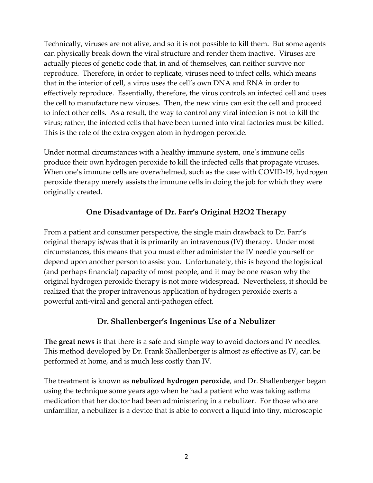Technically, viruses are not alive, and so it is not possible to kill them. But some agents can physically break down the viral structure and render them inactive. Viruses are actually pieces of genetic code that, in and of themselves, can neither survive nor reproduce. Therefore, in order to replicate, viruses need to infect cells, which means that in the interior of cell, a virus uses the cell's own DNA and RNA in order to effectively reproduce. Essentially, therefore, the virus controls an infected cell and uses the cell to manufacture new viruses. Then, the new virus can exit the cell and proceed to infect other cells. As a result, the way to control any viral infection is not to kill the virus; rather, the infected cells that have been turned into viral factories must be killed. This is the role of the extra oxygen atom in hydrogen peroxide.

Under normal circumstances with a healthy immune system, one's immune cells produce their own hydrogen peroxide to kill the infected cells that propagate viruses. When one's immune cells are overwhelmed, such as the case with COVID-19, hydrogen peroxide therapy merely assists the immune cells in doing the job for which they were originally created.

## **One Disadvantage of Dr. Farr's Original H2O2 Therapy**

From a patient and consumer perspective, the single main drawback to Dr. Farr's original therapy is/was that it is primarily an intravenous (IV) therapy. Under most circumstances, this means that you must either administer the IV needle yourself or depend upon another person to assist you. Unfortunately, this is beyond the logistical (and perhaps financial) capacity of most people, and it may be one reason why the original hydrogen peroxide therapy is not more widespread. Nevertheless, it should be realized that the proper intravenous application of hydrogen peroxide exerts a powerful anti-viral and general anti-pathogen effect.

#### **Dr. Shallenberger's Ingenious Use of a Nebulizer**

**The great news** is that there is a safe and simple way to avoid doctors and IV needles. This method developed by Dr. Frank Shallenberger is almost as effective as IV, can be performed at home, and is much less costly than IV.

The treatment is known as **nebulized hydrogen peroxide**, and Dr. Shallenberger began using the technique some years ago when he had a patient who was taking asthma medication that her doctor had been administering in a nebulizer. For those who are unfamiliar, a nebulizer is a device that is able to convert a liquid into tiny, microscopic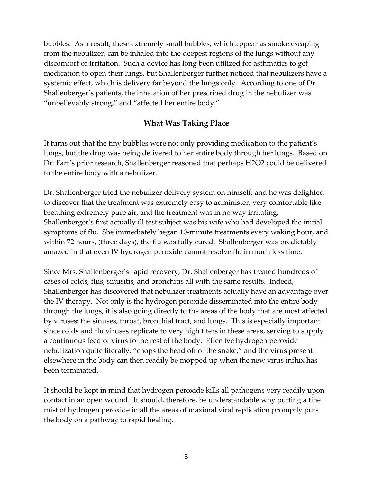bubbles. As a result, these extremely small bubbles, which appear as smoke escaping from the nebulizer, can be inhaled into the deepest regions of the lungs without any discomfort or irritation. Such a device has long been utilized for asthmatics to get medication to open their lungs, but Shallenberger further noticed that nebulizers have a systemic effect, which is delivery far beyond the lungs only. According to one of Dr. Shallenberger's patients, the inhalation of her prescribed drug in the nebulizer was "unbelievably strong," and "affected her entire body."

#### **What Was Taking Place**

It turns out that the tiny bubbles were not only providing medication to the patient's lungs, but the drug was being delivered to her entire body through her lungs. Based on Dr. Farr's prior research, Shallenberger reasoned that perhaps H2O2 could be delivered to the entire body with a nebulizer.

Dr. Shallenberger tried the nebulizer delivery system on himself, and he was delighted to discover that the treatment was extremely easy to administer, very comfortable like breathing extremely pure air, and the treatment was in no way irritating. Shallenberger's first actually ill test subject was his wife who had developed the initial symptoms of flu. She immediately began 10-minute treatments every waking hour, and within 72 hours, (three days), the flu was fully cured. Shallenberger was predictably amazed in that even IV hydrogen peroxide cannot resolve flu in much less time.

Since Mrs. Shallenberger's rapid recovery, Dr. Shallenberger has treated hundreds of cases of colds, flus, sinusitis, and bronchitis all with the same results. Indeed, Shallenberger has discovered that nebulizer treatments actually have an advantage over the IV therapy. Not only is the hydrogen peroxide disseminated into the entire body through the lungs, it is also going directly to the areas of the body that are most affected by viruses: the sinuses, throat, bronchial tract, and lungs. This is especially important since colds and flu viruses replicate to very high titers in these areas, serving to supply a continuous feed of virus to the rest of the body. Effective hydrogen peroxide nebulization quite literally, "chops the head off of the snake," and the virus present elsewhere in the body can then readily be mopped up when the new virus influx has been terminated.

It should be kept in mind that hydrogen peroxide kills all pathogens very readily upon contact in an open wound. It should, therefore, be understandable why putting a fine mist of hydrogen peroxide in all the areas of maximal viral replication promptly puts the body on a pathway to rapid healing.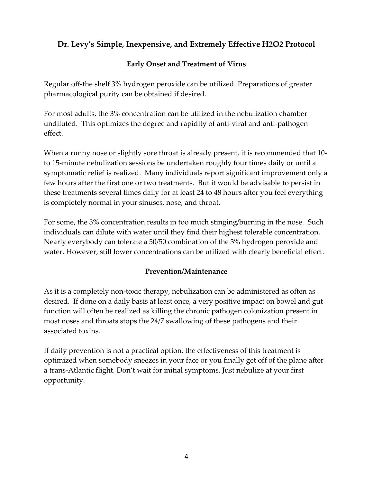# **Dr. Levy's Simple, Inexpensive, and Extremely Effective H2O2 Protocol**

#### **Early Onset and Treatment of Virus**

Regular off-the shelf 3% hydrogen peroxide can be utilized. Preparations of greater pharmacological purity can be obtained if desired.

For most adults, the 3% concentration can be utilized in the nebulization chamber undiluted. This optimizes the degree and rapidity of anti-viral and anti-pathogen effect.

When a runny nose or slightly sore throat is already present, it is recommended that 10 to 15-minute nebulization sessions be undertaken roughly four times daily or until a symptomatic relief is realized. Many individuals report significant improvement only a few hours after the first one or two treatments. But it would be advisable to persist in these treatments several times daily for at least 24 to 48 hours after you feel everything is completely normal in your sinuses, nose, and throat.

For some, the 3% concentration results in too much stinging/burning in the nose. Such individuals can dilute with water until they find their highest tolerable concentration. Nearly everybody can tolerate a 50/50 combination of the 3% hydrogen peroxide and water. However, still lower concentrations can be utilized with clearly beneficial effect.

#### **Prevention/Maintenance**

As it is a completely non-toxic therapy, nebulization can be administered as often as desired. If done on a daily basis at least once, a very positive impact on bowel and gut function will often be realized as killing the chronic pathogen colonization present in most noses and throats stops the 24/7 swallowing of these pathogens and their associated toxins.

If daily prevention is not a practical option, the effectiveness of this treatment is optimized when somebody sneezes in your face or you finally get off of the plane after a trans-Atlantic flight. Don't wait for initial symptoms. Just nebulize at your first opportunity.